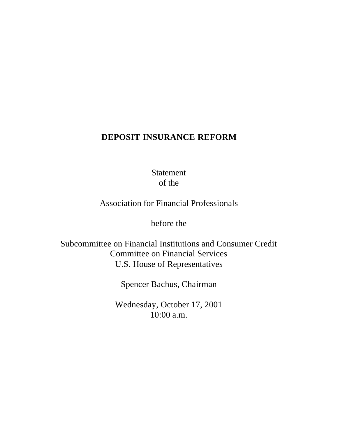# **DEPOSIT INSURANCE REFORM**

Statement of the

Association for Financial Professionals

before the

Subcommittee on Financial Institutions and Consumer Credit Committee on Financial Services U.S. House of Representatives

Spencer Bachus, Chairman

Wednesday, October 17, 2001 10:00 a.m.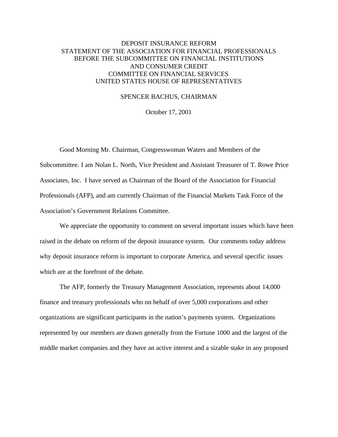# DEPOSIT INSURANCE REFORM STATEMENT OF THE ASSOCIATION FOR FINANCIAL PROFESSIONALS BEFORE THE SUBCOMMITTEE ON FINANCIAL INSTITUTIONS AND CONSUMER CREDIT COMMITTEE ON FINANCIAL SERVICES UNITED STATES HOUSE OF REPRESENTATIVES

#### SPENCER BACHUS, CHAIRMAN

October 17, 2001

Good Morning Mr. Chairman, Congresswoman Waters and Members of the Subcommittee. I am Nolan L. North, Vice President and Assistant Treasurer of T. Rowe Price Associates, Inc. I have served as Chairman of the Board of the Association for Financial Professionals (AFP), and am currently Chairman of the Financial Markets Task Force of the Association's Government Relations Committee.

We appreciate the opportunity to comment on several important issues which have been raised in the debate on reform of the deposit insurance system. Our comments today address why deposit insurance reform is important to corporate America, and several specific issues which are at the forefront of the debate.

The AFP, formerly the Treasury Management Association, represents about 14,000 finance and treasury professionals who on behalf of over 5,000 corporations and other organizations are significant participants in the nation's payments system. Organizations represented by our members are drawn generally from the Fortune 1000 and the largest of the middle market companies and they have an active interest and a sizable stake in any proposed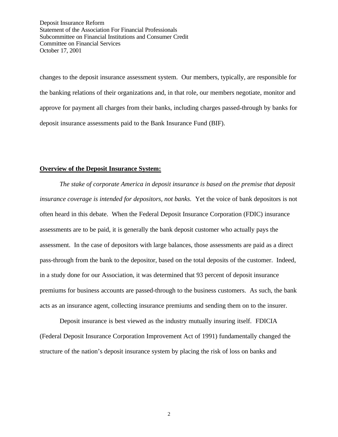changes to the deposit insurance assessment system. Our members, typically, are responsible for the banking relations of their organizations and, in that role, our members negotiate, monitor and approve for payment all charges from their banks, including charges passed-through by banks for deposit insurance assessments paid to the Bank Insurance Fund (BIF).

#### **Overview of the Deposit Insurance System:**

*The stake of corporate America in deposit insurance is based on the premise that deposit insurance coverage is intended for depositors, not banks.* Yet the voice of bank depositors is not often heard in this debate. When the Federal Deposit Insurance Corporation (FDIC) insurance assessments are to be paid, it is generally the bank deposit customer who actually pays the assessment. In the case of depositors with large balances, those assessments are paid as a direct pass-through from the bank to the depositor, based on the total deposits of the customer. Indeed, in a study done for our Association, it was determined that 93 percent of deposit insurance premiums for business accounts are passed-through to the business customers. As such, the bank acts as an insurance agent, collecting insurance premiums and sending them on to the insurer.

Deposit insurance is best viewed as the industry mutually insuring itself. FDICIA (Federal Deposit Insurance Corporation Improvement Act of 1991) fundamentally changed the structure of the nation's deposit insurance system by placing the risk of loss on banks and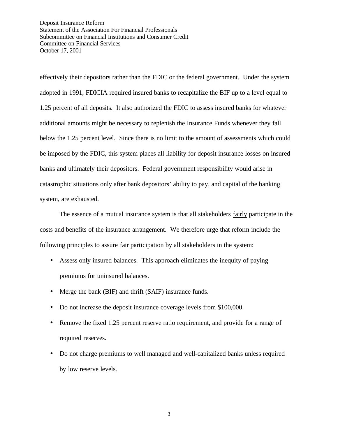effectively their depositors rather than the FDIC or the federal government. Under the system adopted in 1991, FDICIA required insured banks to recapitalize the BIF up to a level equal to 1.25 percent of all deposits. It also authorized the FDIC to assess insured banks for whatever additional amounts might be necessary to replenish the Insurance Funds whenever they fall below the 1.25 percent level. Since there is no limit to the amount of assessments which could be imposed by the FDIC, this system places all liability for deposit insurance losses on insured banks and ultimately their depositors. Federal government responsibility would arise in catastrophic situations only after bank depositors' ability to pay, and capital of the banking system, are exhausted.

The essence of a mutual insurance system is that all stakeholders fairly participate in the costs and benefits of the insurance arrangement. We therefore urge that reform include the following principles to assure fair participation by all stakeholders in the system:

- Assess only insured balances. This approach eliminates the inequity of paying premiums for uninsured balances.
- Merge the bank (BIF) and thrift (SAIF) insurance funds.
- Do not increase the deposit insurance coverage levels from \$100,000.
- Remove the fixed 1.25 percent reserve ratio requirement, and provide for a range of required reserves.
- Do not charge premiums to well managed and well-capitalized banks unless required by low reserve levels.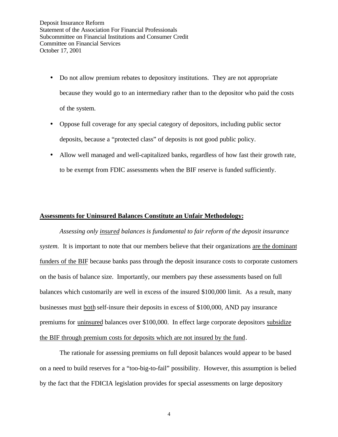- Do not allow premium rebates to depository institutions. They are not appropriate because they would go to an intermediary rather than to the depositor who paid the costs of the system.
- Oppose full coverage for any special category of depositors, including public sector deposits, because a "protected class" of deposits is not good public policy.
- Allow well managed and well-capitalized banks, regardless of how fast their growth rate, to be exempt from FDIC assessments when the BIF reserve is funded sufficiently.

### **Assessments for Uninsured Balances Constitute an Unfair Methodology:**

*Assessing only insured balances is fundamental to fair reform of the deposit insurance system.* It is important to note that our members believe that their organizations are the dominant funders of the BIF because banks pass through the deposit insurance costs to corporate customers on the basis of balance size. Importantly, our members pay these assessments based on full balances which customarily are well in excess of the insured \$100,000 limit. As a result, many businesses must both self-insure their deposits in excess of \$100,000, AND pay insurance premiums for uninsured balances over \$100,000. In effect large corporate depositors subsidize the BIF through premium costs for deposits which are not insured by the fund.

The rationale for assessing premiums on full deposit balances would appear to be based on a need to build reserves for a "too-big-to-fail" possibility. However, this assumption is belied by the fact that the FDICIA legislation provides for special assessments on large depository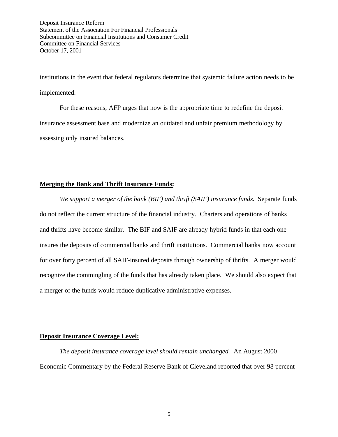institutions in the event that federal regulators determine that systemic failure action needs to be implemented.

For these reasons, AFP urges that now is the appropriate time to redefine the deposit insurance assessment base and modernize an outdated and unfair premium methodology by assessing only insured balances.

### **Merging the Bank and Thrift Insurance Funds:**

*We support a merger of the bank (BIF) and thrift (SAIF) insurance funds.* Separate funds do not reflect the current structure of the financial industry. Charters and operations of banks and thrifts have become similar. The BIF and SAIF are already hybrid funds in that each one insures the deposits of commercial banks and thrift institutions. Commercial banks now account for over forty percent of all SAIF-insured deposits through ownership of thrifts. A merger would recognize the commingling of the funds that has already taken place. We should also expect that a merger of the funds would reduce duplicative administrative expenses.

#### **Deposit Insurance Coverage Level:**

*The deposit insurance coverage level should remain unchanged.* An August 2000 Economic Commentary by the Federal Reserve Bank of Cleveland reported that over 98 percent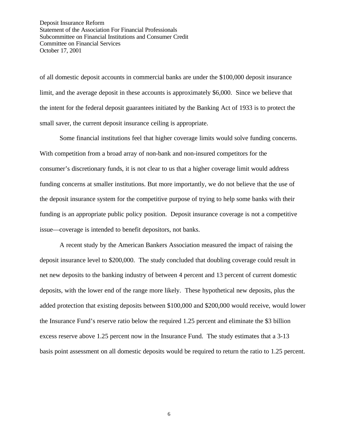of all domestic deposit accounts in commercial banks are under the \$100,000 deposit insurance limit, and the average deposit in these accounts is approximately \$6,000. Since we believe that the intent for the federal deposit guarantees initiated by the Banking Act of 1933 is to protect the small saver, the current deposit insurance ceiling is appropriate.

Some financial institutions feel that higher coverage limits would solve funding concerns. With competition from a broad array of non-bank and non-insured competitors for the consumer's discretionary funds, it is not clear to us that a higher coverage limit would address funding concerns at smaller institutions. But more importantly, we do not believe that the use of the deposit insurance system for the competitive purpose of trying to help some banks with their funding is an appropriate public policy position. Deposit insurance coverage is not a competitive issue—coverage is intended to benefit depositors, not banks.

A recent study by the American Bankers Association measured the impact of raising the deposit insurance level to \$200,000. The study concluded that doubling coverage could result in net new deposits to the banking industry of between 4 percent and 13 percent of current domestic deposits, with the lower end of the range more likely. These hypothetical new deposits, plus the added protection that existing deposits between \$100,000 and \$200,000 would receive, would lower the Insurance Fund's reserve ratio below the required 1.25 percent and eliminate the \$3 billion excess reserve above 1.25 percent now in the Insurance Fund. The study estimates that a 3-13 basis point assessment on all domestic deposits would be required to return the ratio to 1.25 percent.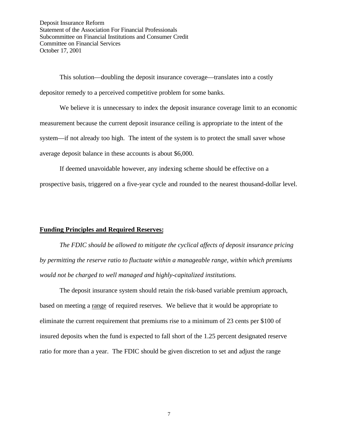This solution—doubling the deposit insurance coverage—translates into a costly depositor remedy to a perceived competitive problem for some banks.

We believe it is unnecessary to index the deposit insurance coverage limit to an economic measurement because the current deposit insurance ceiling is appropriate to the intent of the system—if not already too high. The intent of the system is to protect the small saver whose average deposit balance in these accounts is about \$6,000.

If deemed unavoidable however, any indexing scheme should be effective on a prospective basis, triggered on a five-year cycle and rounded to the nearest thousand-dollar level.

#### **Funding Principles and Required Reserves:**

*The FDIC should be allowed to mitigate the cyclical affects of deposit insurance pricing by permitting the reserve ratio to fluctuate within a manageable range, within which premiums would not be charged to well managed and highly-capitalized institutions.*

The deposit insurance system should retain the risk-based variable premium approach, based on meeting a range of required reserves. We believe that it would be appropriate to eliminate the current requirement that premiums rise to a minimum of 23 cents per \$100 of insured deposits when the fund is expected to fall short of the 1.25 percent designated reserve ratio for more than a year. The FDIC should be given discretion to set and adjust the range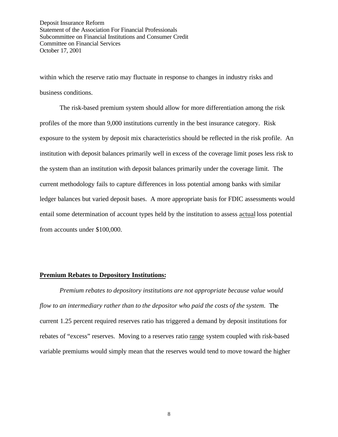within which the reserve ratio may fluctuate in response to changes in industry risks and business conditions.

The risk-based premium system should allow for more differentiation among the risk profiles of the more than 9,000 institutions currently in the best insurance category. Risk exposure to the system by deposit mix characteristics should be reflected in the risk profile. An institution with deposit balances primarily well in excess of the coverage limit poses less risk to the system than an institution with deposit balances primarily under the coverage limit. The current methodology fails to capture differences in loss potential among banks with similar ledger balances but varied deposit bases. A more appropriate basis for FDIC assessments would entail some determination of account types held by the institution to assess actual loss potential from accounts under \$100,000.

#### **Premium Rebates to Depository Institutions:**

*Premium rebates to depository institutions are not appropriate because value would flow to an intermediary rather than to the depositor who paid the costs of the system.* The current 1.25 percent required reserves ratio has triggered a demand by deposit institutions for rebates of "excess" reserves. Moving to a reserves ratio range system coupled with risk-based variable premiums would simply mean that the reserves would tend to move toward the higher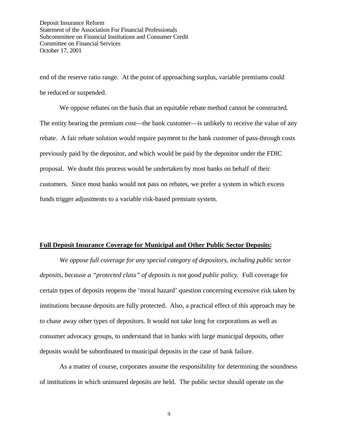end of the reserve ratio range. At the point of approaching surplus, variable premiums could be reduced or suspended.

We oppose rebates on the basis that an equitable rebate method cannot be constructed. The entity bearing the premium cost—the bank customer—is unlikely to receive the value of any rebate. A fair rebate solution would require payment to the bank customer of pass-through costs previously paid by the depositor, and which would be paid by the depositor under the FDIC proposal. We doubt this process would be undertaken by most banks on behalf of their customers. Since most banks would not pass on rebates, we prefer a system in which excess funds trigger adjustments to a variable risk-based premium system.

#### **Full Deposit Insurance Coverage for Municipal and Other Public Sector Deposits:**

*We oppose full coverage for any special category of depositors, including public sector deposits, because a "protected class" of deposits is not good public policy.* Full coverage for certain types of deposits reopens the 'moral hazard' question concerning excessive risk taken by institutions because deposits are fully protected. Also, a practical effect of this approach may be to chase away other types of depositors. It would not take long for corporations as well as consumer advocacy groups, to understand that in banks with large municipal deposits, other deposits would be subordinated to municipal deposits in the case of bank failure.

As a matter of course, corporates assume the responsibility for determining the soundness of institutions in which uninsured deposits are held. The public sector should operate on the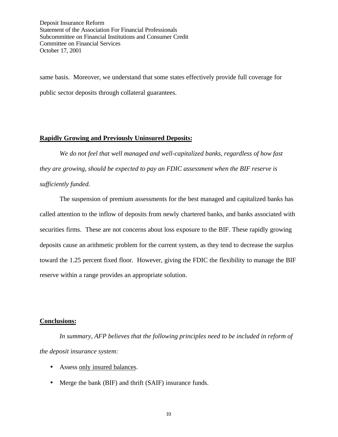same basis. Moreover, we understand that some states effectively provide full coverage for public sector deposits through collateral guarantees.

### **Rapidly Growing and Previously Uninsured Deposits:**

*We do not feel that well managed and well-capitalized banks, regardless of how fast they are growing, should be expected to pay an FDIC assessment when the BIF reserve is sufficiently funded.*

The suspension of premium assessments for the best managed and capitalized banks has called attention to the inflow of deposits from newly chartered banks, and banks associated with securities firms. These are not concerns about loss exposure to the BIF. These rapidly growing deposits cause an arithmetic problem for the current system, as they tend to decrease the surplus toward the 1.25 percent fixed floor. However, giving the FDIC the flexibility to manage the BIF reserve within a range provides an appropriate solution.

## **Conclusions:**

*In summary, AFP believes that the following principles need to be included in reform of the deposit insurance system:*

- Assess only insured balances.
- Merge the bank (BIF) and thrift (SAIF) insurance funds.